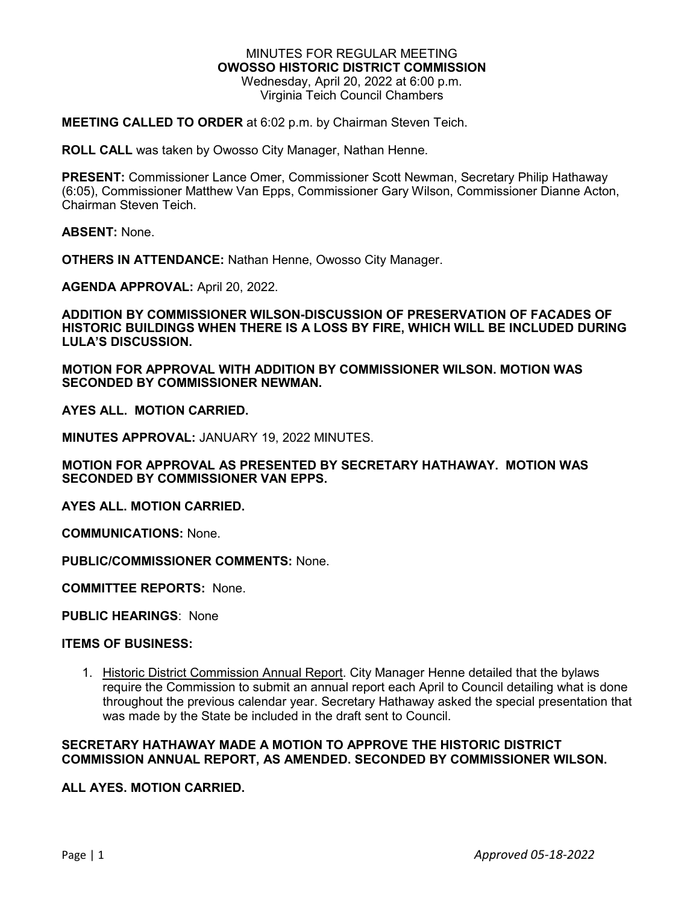#### MINUTES FOR REGULAR MEETING **OWOSSO HISTORIC DISTRICT COMMISSION** Wednesday, April 20, 2022 at 6:00 p.m. Virginia Teich Council Chambers

## **MEETING CALLED TO ORDER** at 6:02 p.m. by Chairman Steven Teich.

**ROLL CALL** was taken by Owosso City Manager, Nathan Henne.

**PRESENT:** Commissioner Lance Omer, Commissioner Scott Newman, Secretary Philip Hathaway (6:05), Commissioner Matthew Van Epps, Commissioner Gary Wilson, Commissioner Dianne Acton, Chairman Steven Teich.

**ABSENT:** None.

**OTHERS IN ATTENDANCE:** Nathan Henne, Owosso City Manager.

**AGENDA APPROVAL:** April 20, 2022.

**ADDITION BY COMMISSIONER WILSON-DISCUSSION OF PRESERVATION OF FACADES OF HISTORIC BUILDINGS WHEN THERE IS A LOSS BY FIRE, WHICH WILL BE INCLUDED DURING LULA'S DISCUSSION.**

**MOTION FOR APPROVAL WITH ADDITION BY COMMISSIONER WILSON. MOTION WAS SECONDED BY COMMISSIONER NEWMAN.**

**AYES ALL. MOTION CARRIED.**

**MINUTES APPROVAL:** JANUARY 19, 2022 MINUTES.

**MOTION FOR APPROVAL AS PRESENTED BY SECRETARY HATHAWAY. MOTION WAS SECONDED BY COMMISSIONER VAN EPPS.**

**AYES ALL. MOTION CARRIED.**

**COMMUNICATIONS:** None.

**PUBLIC/COMMISSIONER COMMENTS:** None.

**COMMITTEE REPORTS:** None.

**PUBLIC HEARINGS**: None

### **ITEMS OF BUSINESS:**

1. Historic District Commission Annual Report. City Manager Henne detailed that the bylaws require the Commission to submit an annual report each April to Council detailing what is done throughout the previous calendar year. Secretary Hathaway asked the special presentation that was made by the State be included in the draft sent to Council.

# **SECRETARY HATHAWAY MADE A MOTION TO APPROVE THE HISTORIC DISTRICT COMMISSION ANNUAL REPORT, AS AMENDED. SECONDED BY COMMISSIONER WILSON.**

### **ALL AYES. MOTION CARRIED.**